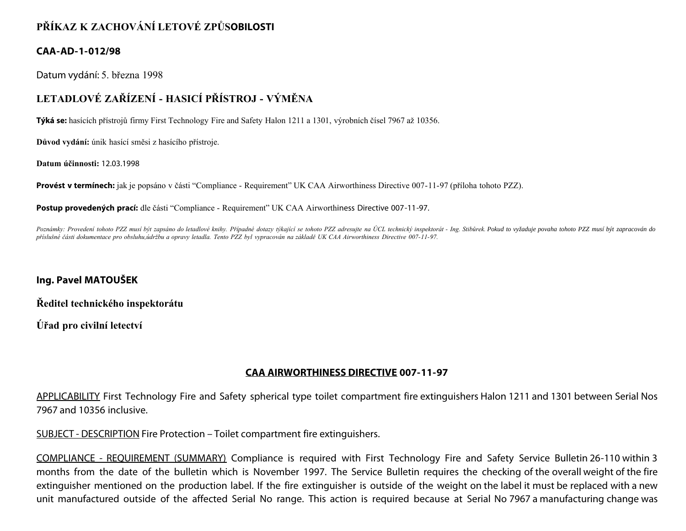## **PŘÍKAZ K ZACHOVÁNÍ LETOVÉ ZPŮSOBILOSTI**

#### **CAA-AD-1-012/98**

Datum vydání: 5. března 1998

# **LETADLOVÉ ZAŘÍZENÍ - HASICÍ PŘÍSTROJ - VÝMĚNA**

**Týká se:** hasících přístrojů firmy First Technology Fire and Safety Halon 1211 a 1301, výrobních čísel 7967 až 10356.

**Důvod vydání:** únik hasící směsi z hasícího přístroje.

**Datum účinnosti:** 12.03.1998

**Provést v termínech:** jak je popsáno v části "Compliance - Requirement" UK CAA Airworthiness Directive 007-11-97 (příloha tohoto PZZ).

**Postup provedených prací:** dle části "Compliance - Requirement" UK CAA Airworthiness Directive 007-11-97.

Poznámky: Provedení tohoto PZZ musí být zapsáno do letadlové knihy. Případné dotazy týkající se tohoto PZZ adresujte na ÚCL technický inspektorát - Ing. Stibůrek. Pokud to vyžaduje povaha tohoto PZZ musí být zapracován do *příslušné části dokumentace pro obsluhu,údržbu a opravy letadla. Tento PZZ byl vypracován na základě UK CAA Airworthiness Directive 007-11-97.*

### **Ing. Pavel MATOUŠEK**

**Ředitel technického inspektorátu**

**Úřad pro civilní letectví**

### **CAA AIRWORTHINESS DIRECTIVE 007-11-97**

APPLICABILITY First Technology Fire and Safety spherical type toilet compartment fire extinguishers Halon 1211 and 1301 between Serial Nos 7967 and 10356 inclusive.

SUBJECT - DESCRIPTION Fire Protection – Toilet compartment fire extinguishers.

COMPLIANCE - REQUIREMENT (SUMMARY) Compliance is required with First Technology Fire and Safety Service Bulletin 26-110 within 3 months from the date of the bulletin which is November 1997. The Service Bulletin requires the checking of the overall weight of the fire extinguisher mentioned on the production label. If the fire extinguisher is outside of the weight on the label it must be replaced with a new unit manufactured outside of the affected Serial No range. This action is required because at Serial No 7967 a manufacturing change was